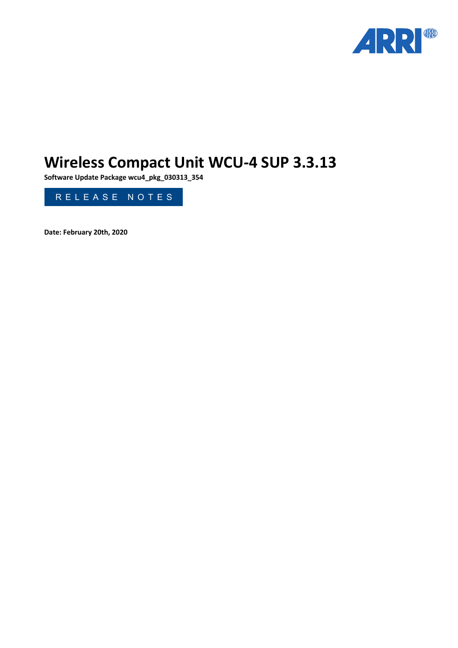

# **Wireless Compact Unit WCU-4 SUP 3.3.13**

**Software Update Package wcu4\_pkg\_030313\_354**



**Date: February 20th, 2020**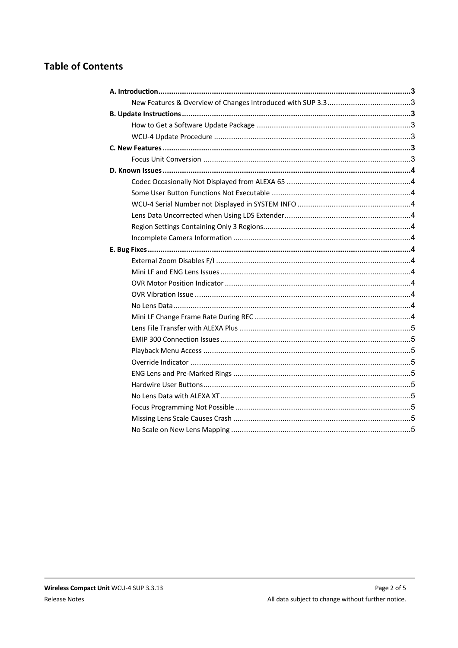# **Table of Contents**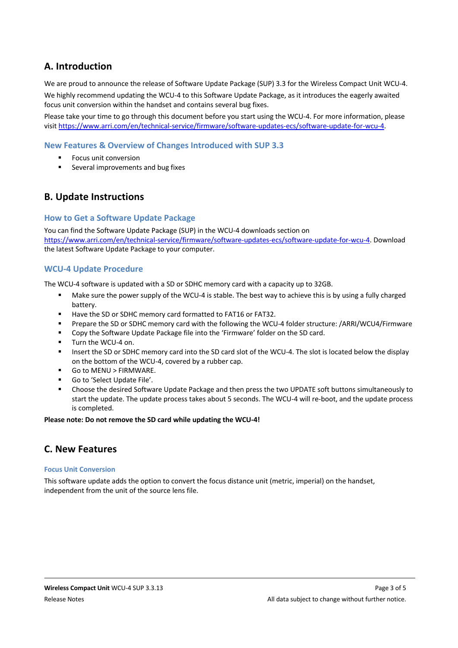# <span id="page-2-0"></span>**A. Introduction**

We are proud to announce the release of Software Update Package (SUP) 3.3 for the Wireless Compact Unit WCU-4.

We highly recommend updating the WCU-4 to this Software Update Package, as it introduces the eagerly awaited focus unit conversion within the handset and contains several bug fixes.

Please take your time to go through this document before you start using the WCU-4. For more information, please visit https://www.arri.com/en/technical-service/firmware/software-updates-ecs/software-update-for-wcu-4.

# **New Features & Overview of Changes Introduced with SUP 3.3**

- <span id="page-2-1"></span>■ Focus unit conversion
- <span id="page-2-3"></span><span id="page-2-2"></span>■ Several improvements and bug fixes

# **B. Update Instructions**

# **How to Get a Software Update Package**

You can find the Software Update Package (SUP) in the WCU-4 downloads section on <https://www.arri.com/en/technical-service/firmware/software-updates-ecs/software-update-for-wcu-4>. Download the latest Software Update Package to your computer.

# **WCU-4 Update Procedure**

The WCU-4 software is updated with a SD or SDHC memory card with a capacity up to 32GB.

- <span id="page-2-4"></span>§ Make sure the power supply of the WCU-4 is stable. The best way to achieve this is by using a fully charged battery.
- Have the SD or SDHC memory card formatted to FAT16 or FAT32.
- § Prepare the SD or SDHC memory card with the following the WCU-4 folder structure: /ARRI/WCU4/Firmware
- § Copy the Software Update Package file into the 'Firmware' folder on the SD card.
- § Turn the WCU-4 on.
- Insert the SD or SDHC memory card into the SD card slot of the WCU-4. The slot is located below the display on the bottom of the WCU-4, covered by a rubber cap.
- Go to MENU > FIRMWARE.
- § Go to 'Select Update File'.
- § Choose the desired Software Update Package and then press the two UPDATE soft buttons simultaneously to start the update. The update process takes about 5 seconds. The WCU-4 will re-boot, and the update process is completed.

# **Please note: Do not remove the SD card while updating the WCU-4!**

# <span id="page-2-5"></span>**C. New Features**

# <span id="page-2-6"></span>**Focus Unit Conversion**

This software update adds the option to convert the focus distance unit (metric, imperial) on the handset, independent from the unit of the source lens file.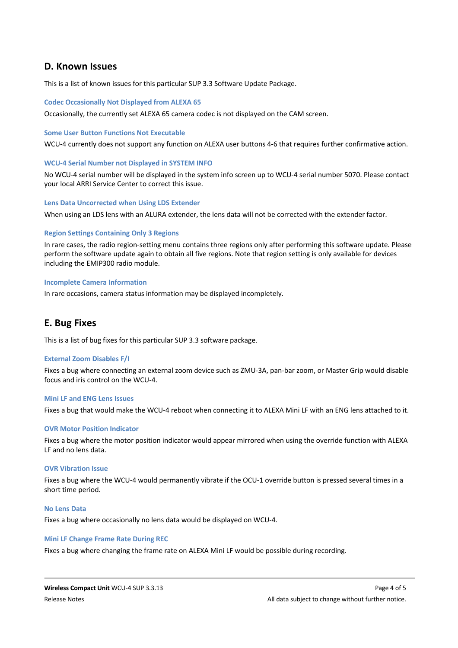# <span id="page-3-0"></span>**D. Known Issues**

This is a list of known issues for this particular SUP 3.3 Software Update Package.

# <span id="page-3-1"></span>**Codec Occasionally Not Displayed from ALEXA 65**

Occasionally, the currently set ALEXA 65 camera codec is not displayed on the CAM screen.

# <span id="page-3-2"></span>**Some User Button Functions Not Executable**

WCU-4 currently does not support any function on ALEXA user buttons 4-6 that requires further confirmative action.

# <span id="page-3-3"></span>**WCU-4 Serial Number not Displayed in SYSTEM INFO**

No WCU-4 serial number will be displayed in the system info screen up to WCU-4 serial number 5070. Please contact your local ARRI Service Center to correct this issue.

## <span id="page-3-4"></span>**Lens Data Uncorrected when Using LDS Extender**

When using an LDS lens with an ALURA extender, the lens data will not be corrected with the extender factor.

# <span id="page-3-5"></span>**Region Settings Containing Only 3 Regions**

In rare cases, the radio region-setting menu contains three regions only after performing this software update. Please perform the software update again to obtain all five regions. Note that region setting is only available for devices including the EMIP300 radio module.

# <span id="page-3-6"></span>**Incomplete Camera Information**

In rare occasions, camera status information may be displayed incompletely.

# <span id="page-3-7"></span>**E. Bug Fixes**

This is a list of bug fixes for this particular SUP 3.3 software package.

# <span id="page-3-8"></span>**External Zoom Disables F/I**

Fixes a bug where connecting an external zoom device such as ZMU-3A, pan-bar zoom, or Master Grip would disable focus and iris control on the WCU-4.

## <span id="page-3-9"></span>**Mini LF and ENG Lens Issues**

Fixes a bug that would make the WCU-4 reboot when connecting it to ALEXA Mini LF with an ENG lens attached to it.

# <span id="page-3-10"></span>**OVR Motor Position Indicator**

Fixes a bug where the motor position indicator would appear mirrored when using the override function with ALEXA LF and no lens data.

## <span id="page-3-11"></span>**OVR Vibration Issue**

Fixes a bug where the WCU-4 would permanently vibrate if the OCU-1 override button is pressed several times in a short time period.

## <span id="page-3-12"></span>**No Lens Data**

Fixes a bug where occasionally no lens data would be displayed on WCU-4.

# <span id="page-3-13"></span>**Mini LF Change Frame Rate During REC**

Fixes a bug where changing the frame rate on ALEXA Mini LF would be possible during recording.